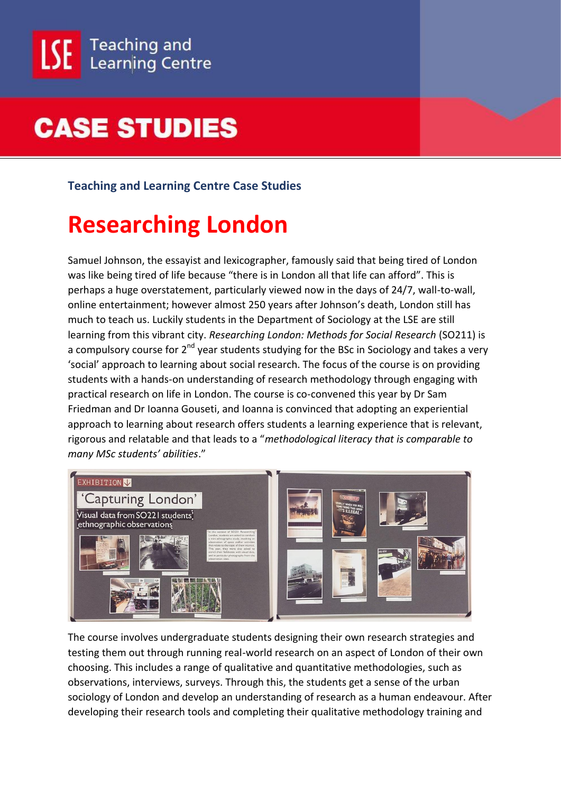

#### **Teaching and Learning Centre Case Studies**

#### **Researching London**

Samuel Johnson, the essayist and lexicographer, famously said that being tired of London was like being tired of life because "there is in London all that life can afford". This is perhaps a huge overstatement, particularly viewed now in the days of 24/7, wall-to-wall, online entertainment; however almost 250 years after Johnson's death, London still has much to teach us. Luckily students in the Department of Sociology at the LSE are still learning from this vibrant city. *Researching London: Methods for Social Research* (SO211) is a compulsory course for 2<sup>nd</sup> year students studying for the BSc in Sociology and takes a very 'social' approach to learning about social research. The focus of the course is on providing students with a hands-on understanding of research methodology through engaging with practical research on life in London. The course is co-convened this year by Dr Sam Friedman and Dr Ioanna Gouseti, and Ioanna is convinced that adopting an experiential approach to learning about research offers students a learning experience that is relevant, rigorous and relatable and that leads to a "*methodological literacy that is comparable to many MSc students' abilities*."



The course involves undergraduate students designing their own research strategies and testing them out through running real-world research on an aspect of London of their own choosing. This includes a range of qualitative and quantitative methodologies, such as observations, interviews, surveys. Through this, the students get a sense of the urban sociology of London and develop an understanding of research as a human endeavour. After developing their research tools and completing their qualitative methodology training and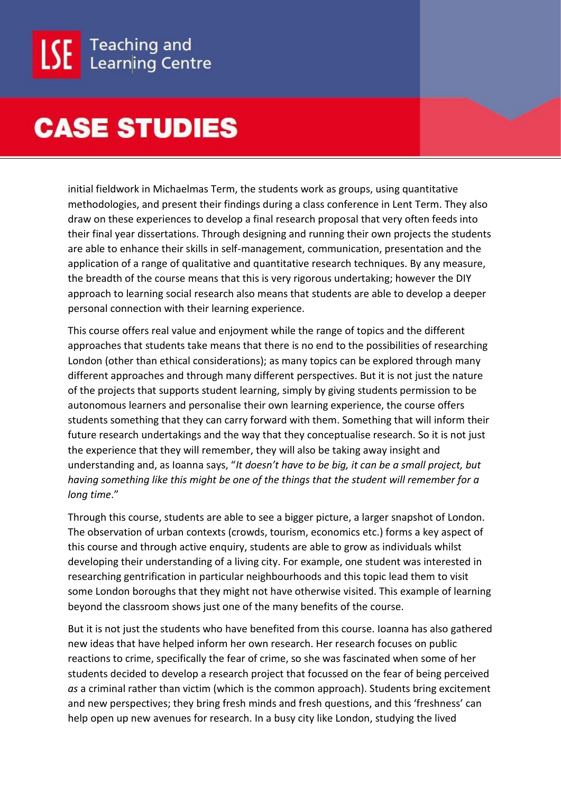initial fieldwork in Michaelmas Term, the students work as groups, using quantitative methodologies, and present their findings during a class conference in Lent Term. They also draw on these experiences to develop a final research proposal that very often feeds into their final year dissertations. Through designing and running their own projects the students are able to enhance their skills in self-management, communication, presentation and the application of a range of qualitative and quantitative research techniques. By any measure, the breadth of the course means that this is very rigorous undertaking; however the DIY approach to learning social research also means that students are able to develop a deeper personal connection with their learning experience.

This course offers real value and enjoyment while the range of topics and the different approaches that students take means that there is no end to the possibilities of researching London (other than ethical considerations); as many topics can be explored through many different approaches and through many different perspectives. But it is not just the nature of the projects that supports student learning, simply by giving students permission to be autonomous learners and personalise their own learning experience, the course offers students something that they can carry forward with them. Something that will inform their future research undertakings and the way that they conceptualise research. So it is not just the experience that they will remember, they will also be taking away insight and understanding and, as Ioanna says, "*It doesn't have to be big, it can be a small project, but having something like this might be one of the things that the student will remember for a long time*."

Through this course, students are able to see a bigger picture, a larger snapshot of London. The observation of urban contexts (crowds, tourism, economics etc.) forms a key aspect of this course and through active enquiry, students are able to grow as individuals whilst developing their understanding of a living city. For example, one student was interested in researching gentrification in particular neighbourhoods and this topic lead them to visit some London boroughs that they might not have otherwise visited. This example of learning beyond the classroom shows just one of the many benefits of the course.

But it is not just the students who have benefited from this course. Ioanna has also gathered new ideas that have helped inform her own research. Her research focuses on public reactions to crime, specifically the fear of crime, so she was fascinated when some of her students decided to develop a research project that focussed on the fear of being perceived *as* a criminal rather than victim (which is the common approach). Students bring excitement and new perspectives; they bring fresh minds and fresh questions, and this 'freshness' can help open up new avenues for research. In a busy city like London, studying the lived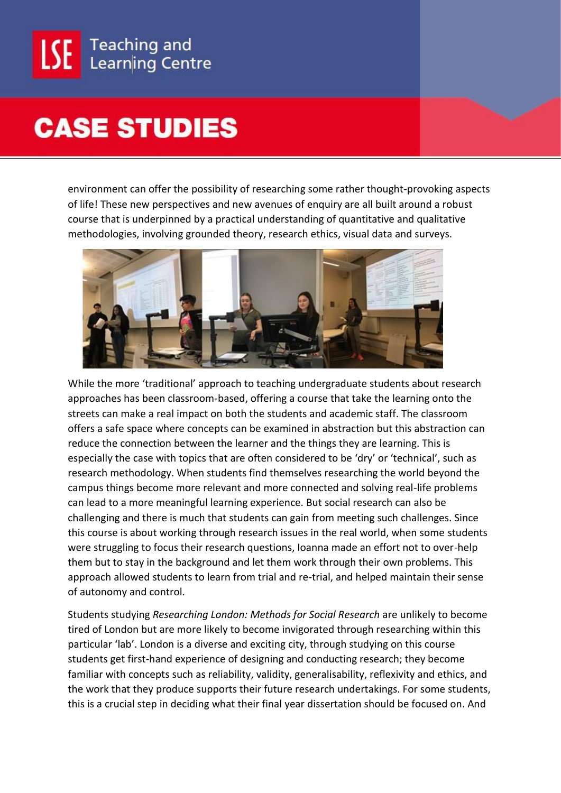

environment can offer the possibility of researching some rather thought-provoking aspects of life! These new perspectives and new avenues of enquiry are all built around a robust course that is underpinned by a practical understanding of quantitative and qualitative methodologies, involving grounded theory, research ethics, visual data and surveys.



While the more 'traditional' approach to teaching undergraduate students about research approaches has been classroom-based, offering a course that take the learning onto the streets can make a real impact on both the students and academic staff. The classroom offers a safe space where concepts can be examined in abstraction but this abstraction can reduce the connection between the learner and the things they are learning. This is especially the case with topics that are often considered to be 'dry' or 'technical', such as research methodology. When students find themselves researching the world beyond the campus things become more relevant and more connected and solving real-life problems can lead to a more meaningful learning experience. But social research can also be challenging and there is much that students can gain from meeting such challenges. Since this course is about working through research issues in the real world, when some students were struggling to focus their research questions, Ioanna made an effort not to over-help them but to stay in the background and let them work through their own problems. This approach allowed students to learn from trial and re-trial, and helped maintain their sense of autonomy and control.

Students studying *Researching London: Methods for Social Research* are unlikely to become tired of London but are more likely to become invigorated through researching within this particular 'lab'. London is a diverse and exciting city, through studying on this course students get first-hand experience of designing and conducting research; they become familiar with concepts such as reliability, validity, generalisability, reflexivity and ethics, and the work that they produce supports their future research undertakings. For some students, this is a crucial step in deciding what their final year dissertation should be focused on. And